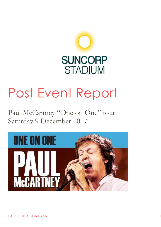

# Post Event Report

Paul McCartney "One on One" tour Saturday 9 December 2017

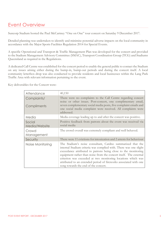# Event Overview

Suncorp Stadium hosted the Paul McCartney "One on One" tour concert on Saturday 9 December 2017.

Detailed planning was undertaken to identify and minimise potential adverse impacts on the local community in accordance with the Major Sports Facilities Regulation 2014 for Special Events.

A specific Operational and Transport & Traffic Management Plan was developed for the concert and provided to the Stadium Management Advisory Committee (SMAC), Transport Coordination Group (TCG) and Stadiums Queensland as required in the Regulations.

A dedicated Call Centre was established for the concert period to enable the general public to contact the Stadium on any issues arising either during the bump-in, bump-out periods and during the concert itself. A local community letterbox drop was also conducted to provide residents and local businesses within the Lang Park Traffic Area with relevant information pertaining to the event.

Key deliverables for the Concert were:

| Attendance                 | 40,150                                                                                                                                                                                                                                                                                                                                                                                                                                              |
|----------------------------|-----------------------------------------------------------------------------------------------------------------------------------------------------------------------------------------------------------------------------------------------------------------------------------------------------------------------------------------------------------------------------------------------------------------------------------------------------|
| Complaints/<br>Compliments | There were no complaints to the Call Centre regarding concert<br>noise or other issues. Post-concert, one complimentary email,<br>seven complementary social media posts, five complaint emails and<br>one social media complaint were received. All complaints were<br>addressed.                                                                                                                                                                  |
| Media                      | Media coverage leading up to and after the concert was positive.                                                                                                                                                                                                                                                                                                                                                                                    |
| Social<br>Media/Website    | Positive feedback from patrons about the event was received via<br>social media                                                                                                                                                                                                                                                                                                                                                                     |
| Crowd<br>Management        | The crowd overall was extremely compliant and well behaved.                                                                                                                                                                                                                                                                                                                                                                                         |
| Security                   | There were 11 evictions for intoxication and 2 arrests for behaviour                                                                                                                                                                                                                                                                                                                                                                                |
| Noise Monitoring           | The Stadium's noise consultant, Cardno summarized that the<br>internal Stadium criteria was complied with. There was one slight<br>exceedance attributed to patrons being close to the monitoring<br>equipment rather than noise from the concert itself. The external<br>criterion was exceeded at two monitoring locations which was<br>attributed to an extended period of fireworks associated with one<br>song towards the end of the concert. |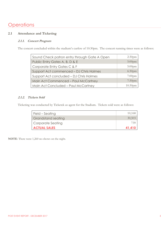# **Operations**

# **2.1 Attendance and Ticketing**

## **2.1.1. Concert Program**

The concert concluded within the stadium's curfew of 10:30pm. The concert running times were as follows:

| Sound Check patron entry through Gate A Open | 2:30 <sub>pm</sub>  |
|----------------------------------------------|---------------------|
| Public Entry Gates A, B, D & E               | $5:00$ pm           |
| Corporate Entry Gates C & F                  | $5:00$ pm           |
| Support Act commenced - DJ Chris Holmes      | 6:30 <sub>pm</sub>  |
| Support Act concluded - DJ Chris Holmes      | $7:00$ pm           |
| Main Act Commenced - Paul McCartney          | 7:30 <sub>pm</sub>  |
| Main Act Concluded - Paul McCartney          | 10:30 <sub>pm</sub> |

# **2.1.2. Tickets Sold**

Ticketing was conducted by Ticketek as agent for the Stadium. Tickets sold were as follows:

| Field – Seating     | 10,168 |
|---------------------|--------|
| Grandstand seating  | 30,503 |
| Corporate Seating   | 739    |
| <b>ACTUAL SALES</b> | 41,410 |

**NOTE**: There were 1,260 no-shows on the night.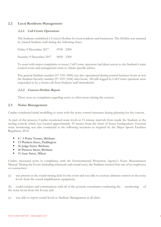## **2.2 Local Residents Management**

### **2.2.1. Call Centre Operations**

The Stadium established a Concert Hotline for local residents and businesses. The Hotline was manned by trained Stadium staff during the following times:

Friday 8 December 2017 0700 - 2200 Saturday 9 December 2017 0830 - 2300

To assist with major complaints or issues, Call Centre operators had direct access to the Stadium's main control room and management team to obtain specific advice.

The general Stadium number (07 3331 5000) was also operational during normal business hours as was the Stadium Security number (07 3331 5168) after hours. All calls logged by Call Centre operators were responded to by a return call from Stadium staff immediately.

#### **2.2.2. Concert Hotline Report**

There were no complaints regarding noise or other issues during the concert.

#### **2.3 Noise Management**

Cardno conducted initial modelling to assist with the noise control measures during planning for the concert.

As part of this process, Cardno monitored noise levels at 15 minute intervals from inside the Stadium at the mixing console which was located approximately 35 metres from the front of house loudspeakers. External noise monitoring was also conducted at the following locations as required by the Major Sports Facilities Regulation 2014:

- 8 / 5 Petrie Terrace, Brisbane
- 15 Plunkett Street, Paddington
- 36 Judge Street, Brisbane
- 26 Princess Street, Brisbane
- 31 Isaac Street, Milton

Cardno measured noise in compliance with the Environmental Protection Agency's Noise Measurement Manual. During the Event (including rehearsals and sound tests), the Stadium ensured that one of its employees or contractors:-

(a) was present at the sound mixing desk for the event and was able to exercise ultimate control on the noise levels from the sound amplification equipment;

(b) could conduct and communicate with all of the acoustic consultants conducting the monitoring of the noise levels from the Event; and

(c) was able to report sound levels to Stadium Management at all times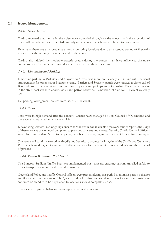#### **2.4 Issues Management**

#### **2.4.1. Noise Levels**

Cardno reported that internally, the noise levels complied throughout the concert with the exception of one small exceedance inside the Stadium early in the concert which was attributed to crowd noise.

Externally, there was an exceedance at two monitoring locations due to an extended period of fireworks associated with one song towards the end of the concert.

Cardno also advised the moderate easterly breeze during the concert may have influenced the noise emissions from the Stadium to sound louder than usual at those locations.

#### **2.4.2. Limousine and Parking**

Limousine parking in Parkview and Mayneview Streets was monitored closely and in line with the usual arrangements for other major Stadium events. Barriers and Security guards were located at either end of Blaxland Street to ensure it was not used for drop-offs and pickups and Queensland Police were present in the street post-event to control noise and patron behavior. Limousine take-up for this event was very low.

159 parking infringement notices were issued at the event.

#### **2.4.3. Taxis**

Taxis were in high demand after the concert. Queues were managed by Taxi Council of Queensland and there were no reported issues or complaints.

Ride Sharing services is an ongoing concern for the venue for all events however security reports the usage of these services was reduced compared to previous concerts and events. Security Traffic Control Officers were placed in Blaxland Street to deny entry to Uber drivers trying to use the street to wait for passengers.

The venue will continue to work with QPS and Security to protect the integrity of the Traffic and Transport Plans which are designed to minimize traffic in the area for the benefit of local residents and the dispersal of patrons.

#### **2.4.4. Patron Behaviour Post Event**

The Suncorp Stadium Traffic Plan was implemented post-concert, ensuring patrons travelled safely to major transportation hubs and other destinations.

Queensland Police and Traffic Control officers were present during this period to monitor patron behavior and flow to surrounding areas. The Queensland Police also monitored local areas for one hour post-event and were on standby to be dispatched to locations should complaints arise.

There were no patron behavior issues reported after the concert.